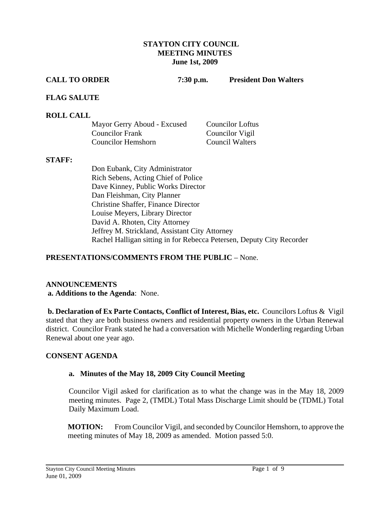#### **STAYTON CITY COUNCIL MEETING MINUTES June 1st, 2009**

**CALL TO ORDER 7:30 p.m. President Don Walters** 

#### **FLAG SALUTE**

#### **ROLL CALL**

| Mayor Gerry Aboud - Excused | <b>Councilor Loftus</b> |
|-----------------------------|-------------------------|
| <b>Councilor Frank</b>      | Councilor Vigil         |
| <b>Councilor Hemshorn</b>   | <b>Council Walters</b>  |

#### **STAFF:**

Don Eubank, City Administrator Rich Sebens, Acting Chief of Police Dave Kinney, Public Works Director Dan Fleishman, City Planner Christine Shaffer, Finance Director Louise Meyers, Library Director David A. Rhoten, City Attorney Jeffrey M. Strickland, Assistant City Attorney Rachel Halligan sitting in for Rebecca Petersen, Deputy City Recorder

## **PRESENTATIONS/COMMENTS FROM THE PUBLIC** – None.

## **ANNOUNCEMENTS**

## **a. Additions to the Agenda**: None.

 **b. Declaration of Ex Parte Contacts, Conflict of Interest, Bias, etc.** Councilors Loftus & Vigil stated that they are both business owners and residential property owners in the Urban Renewal district. Councilor Frank stated he had a conversation with Michelle Wonderling regarding Urban Renewal about one year ago.

## **CONSENT AGENDA**

## **a. Minutes of the May 18, 2009 City Council Meeting**

Councilor Vigil asked for clarification as to what the change was in the May 18, 2009 meeting minutes. Page 2, (TMDL) Total Mass Discharge Limit should be (TDML) Total Daily Maximum Load.

**MOTION:** From Councilor Vigil, and seconded by Councilor Hemshorn, to approve the meeting minutes of May 18, 2009 as amended. Motion passed 5:0.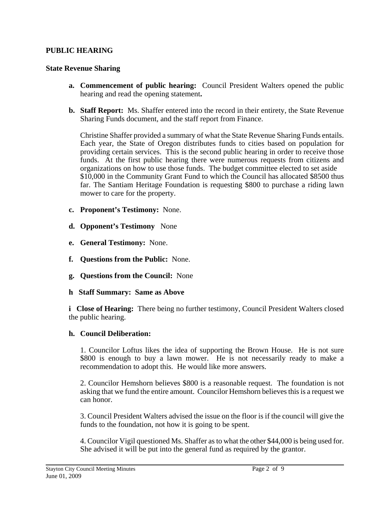## **PUBLIC HEARING**

#### **State Revenue Sharing**

- **a. Commencement of public hearing:** Council President Walters opened the public hearing and read the opening statement**.**
- **b. Staff Report:** Ms. Shaffer entered into the record in their entirety, the State Revenue Sharing Funds document, and the staff report from Finance.

Christine Shaffer provided a summary of what the State Revenue Sharing Funds entails. Each year, the State of Oregon distributes funds to cities based on population for providing certain services. This is the second public hearing in order to receive those funds. At the first public hearing there were numerous requests from citizens and organizations on how to use those funds. The budget committee elected to set aside \$10,000 in the Community Grant Fund to which the Council has allocated \$8500 thus far. The Santiam Heritage Foundation is requesting \$800 to purchase a riding lawn mower to care for the property.

- **c. Proponent's Testimony:** None.
- **d. Opponent's Testimony** None
- **e. General Testimony:** None.
- **f. Questions from the Public:** None.
- **g. Questions from the Council:** None
- **h Staff Summary: Same as Above**

**i Close of Hearing:** There being no further testimony, Council President Walters closed the public hearing.

## **h. Council Deliberation:**

1. Councilor Loftus likes the idea of supporting the Brown House. He is not sure \$800 is enough to buy a lawn mower. He is not necessarily ready to make a recommendation to adopt this. He would like more answers.

2. Councilor Hemshorn believes \$800 is a reasonable request. The foundation is not asking that we fund the entire amount. Councilor Hemshorn believes this is a request we can honor.

 3. Council President Walters advised the issue on the floor is if the council will give the funds to the foundation, not how it is going to be spent.

4. Councilor Vigil questioned Ms. Shaffer as to what the other \$44,000 is being used for. She advised it will be put into the general fund as required by the grantor.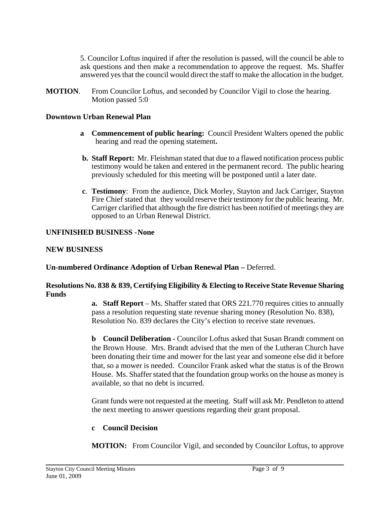5. Councilor Loftus inquired if after the resolution is passed, will the council be able to ask questions and then make a recommendation to approve the request. Ms. Shaffer answered yes that the council would direct the staff to make the allocation in the budget.

**MOTION**. From Councilor Loftus, and seconded by Councilor Vigil to close the hearing. Motion passed 5:0

## **Downtown Urban Renewal Plan**

- **a Commencement of public hearing:** Council President Walters opened the public hearing and read the opening statement**.**
- **b. Staff Report:** Mr. Fleishman stated that due to a flawed notification process public testimony would be taken and entered in the permanent record. The public hearing previously scheduled for this meeting will be postponed until a later date.
- **c**. **Testimony**: From the audience, Dick Morley, Stayton and Jack Carriger, Stayton Fire Chief stated that they would reserve their testimony for the public hearing. Mr. Carriger clarified that although the fire district has been notified of meetings they are opposed to an Urban Renewal District.

#### **UNFINISHED BUSINESS - None**

#### **NEW BUSINESS**

**Un-numbered Ordinance Adoption of Urban Renewal Plan –** Deferred.

## **Resolutions No. 838 & 839, Certifying Eligibility & Electing to Receive State Revenue Sharing Funds**

**a. Staff Report** – Ms. Shaffer stated that ORS 221.770 requires cities to annually pass a resolution requesting state revenue sharing money (Resolution No. 838), Resolution No. 839 declares the City's election to receive state revenues.

**b Council Deliberation -** Councilor Loftus asked that Susan Brandt comment on the Brown House. Mrs. Brandt advised that the men of the Lutheran Church have been donating their time and mower for the last year and someone else did it before that, so a mower is needed. Councilor Frank asked what the status is of the Brown House. Ms. Shaffer stated that the foundation group works on the house as money is available, so that no debt is incurred.

Grant funds were not requested at the meeting. Staff will ask Mr. Pendleton to attend the next meeting to answer questions regarding their grant proposal.

## **c Council Decision**

**MOTION:** From Councilor Vigil, and seconded by Councilor Loftus, to approve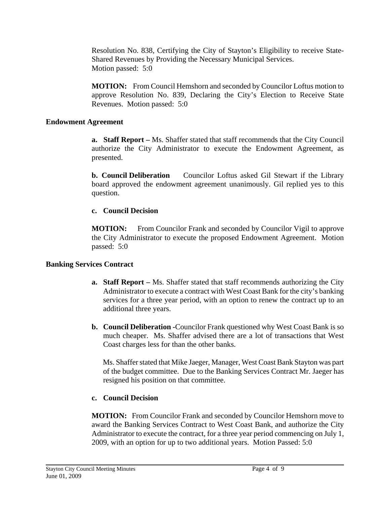Resolution No. 838, Certifying the City of Stayton's Eligibility to receive State-Shared Revenues by Providing the Necessary Municipal Services. Motion passed: 5:0

 **MOTION:** From Council Hemshorn and seconded by Councilor Loftus motion to approve Resolution No. 839, Declaring the City's Election to Receive State Revenues. Motion passed: 5:0

#### **Endowment Agreement**

**a. Staff Report –** Ms. Shaffer stated that staff recommends that the City Council authorize the City Administrator to execute the Endowment Agreement, as presented.

**b. Council Deliberation** Councilor Loftus asked Gil Stewart if the Library board approved the endowment agreement unanimously. Gil replied yes to this question.

## **c. Council Decision**

**MOTION:** From Councilor Frank and seconded by Councilor Vigil to approve the City Administrator to execute the proposed Endowment Agreement. Motion passed: 5:0

## **Banking Services Contract**

- **a. Staff Report** Ms. Shaffer stated that staff recommends authorizing the City Administrator to execute a contract with West Coast Bank for the city's banking services for a three year period, with an option to renew the contract up to an additional three years.
- **b. Council Deliberation -**Councilor Frank questioned why West Coast Bank is so much cheaper. Ms. Shaffer advised there are a lot of transactions that West Coast charges less for than the other banks.

Ms. Shaffer stated that Mike Jaeger, Manager, West Coast Bank Stayton was part of the budget committee. Due to the Banking Services Contract Mr. Jaeger has resigned his position on that committee.

# **c. Council Decision**

**MOTION:** From Councilor Frank and seconded by Councilor Hemshorn move to award the Banking Services Contract to West Coast Bank, and authorize the City Administrator to execute the contract, for a three year period commencing on July 1, 2009, with an option for up to two additional years. Motion Passed: 5:0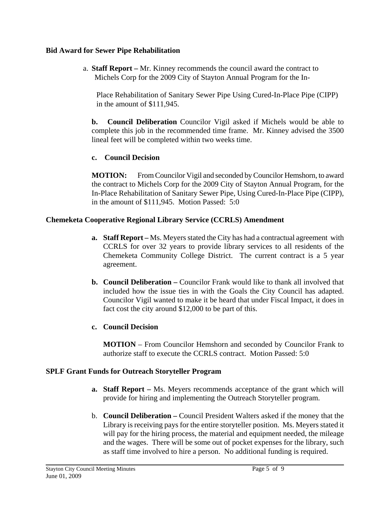## **Bid Award for Sewer Pipe Rehabilitation**

a. **Staff Report –** Mr. Kinney recommends the council award the contract to Michels Corp for the 2009 City of Stayton Annual Program for the In-

 Place Rehabilitation of Sanitary Sewer Pipe Using Cured-In-Place Pipe (CIPP) in the amount of \$111,945.

**b. Council Deliberation** Councilor Vigil asked if Michels would be able to complete this job in the recommended time frame. Mr. Kinney advised the 3500 lineal feet will be completed within two weeks time.

# **c. Council Decision**

**MOTION:** From Councilor Vigil and seconded by Councilor Hemshorn, to award the contract to Michels Corp for the 2009 City of Stayton Annual Program, for the In-Place Rehabilitation of Sanitary Sewer Pipe, Using Cured-In-Place Pipe (CIPP), in the amount of \$111,945. Motion Passed: 5:0

# **Chemeketa Cooperative Regional Library Service (CCRLS) Amendment**

- **a. Staff Report** Ms. Meyers stated the City has had a contractual agreement with CCRLS for over 32 years to provide library services to all residents of the Chemeketa Community College District. The current contract is a 5 year agreement.
- **b. Council Deliberation** Councilor Frank would like to thank all involved that included how the issue ties in with the Goals the City Council has adapted. Councilor Vigil wanted to make it be heard that under Fiscal Impact, it does in fact cost the city around \$12,000 to be part of this.

# **c. Council Decision**

**MOTION** – From Councilor Hemshorn and seconded by Councilor Frank to authorize staff to execute the CCRLS contract. Motion Passed: 5:0

# **SPLF Grant Funds for Outreach Storyteller Program**

- **a. Staff Report** Ms. Meyers recommends acceptance of the grant which will provide for hiring and implementing the Outreach Storyteller program.
- b. **Council Deliberation** Council President Walters asked if the money that the Library is receiving pays for the entire storyteller position. Ms. Meyers stated it will pay for the hiring process, the material and equipment needed, the mileage and the wages. There will be some out of pocket expenses for the library, such as staff time involved to hire a person. No additional funding is required.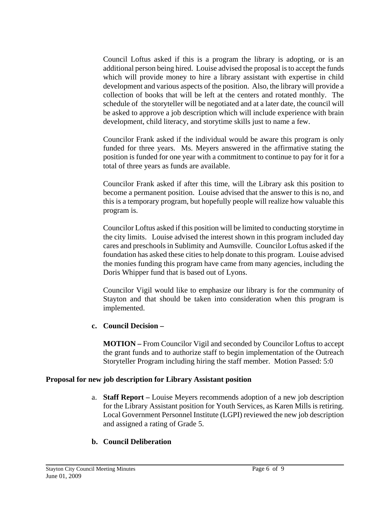Council Loftus asked if this is a program the library is adopting, or is an additional person being hired. Louise advised the proposal is to accept the funds which will provide money to hire a library assistant with expertise in child development and various aspects of the position. Also, the library will provide a collection of books that will be left at the centers and rotated monthly. The schedule of the storyteller will be negotiated and at a later date, the council will be asked to approve a job description which will include experience with brain development, child literacy, and storytime skills just to name a few.

Councilor Frank asked if the individual would be aware this program is only funded for three years. Ms. Meyers answered in the affirmative stating the position is funded for one year with a commitment to continue to pay for it for a total of three years as funds are available.

Councilor Frank asked if after this time, will the Library ask this position to become a permanent position. Louise advised that the answer to this is no, and this is a temporary program, but hopefully people will realize how valuable this program is.

Councilor Loftus asked if this position will be limited to conducting storytime in the city limits. Louise advised the interest shown in this program included day cares and preschools in Sublimity and Aumsville. Councilor Loftus asked if the foundation has asked these cities to help donate to this program. Louise advised the monies funding this program have came from many agencies, including the Doris Whipper fund that is based out of Lyons.

Councilor Vigil would like to emphasize our library is for the community of Stayton and that should be taken into consideration when this program is implemented.

# **c. Council Decision –**

**MOTION –** From Councilor Vigil and seconded by Councilor Loftus to accept the grant funds and to authorize staff to begin implementation of the Outreach Storyteller Program including hiring the staff member. Motion Passed: 5:0

## **Proposal for new job description for Library Assistant position**

a. **Staff Report –** Louise Meyers recommends adoption of a new job description for the Library Assistant position for Youth Services, as Karen Mills is retiring. Local Government Personnel Institute (LGPI) reviewed the new job description and assigned a rating of Grade 5.

# **b. Council Deliberation**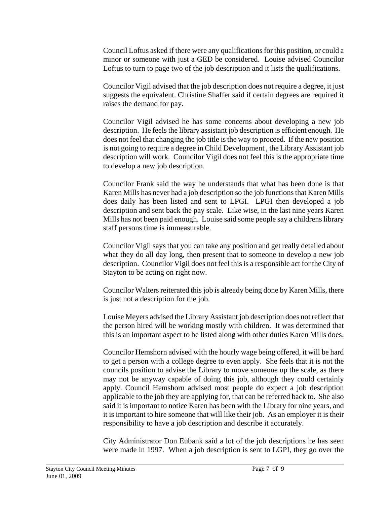Council Loftus asked if there were any qualifications for this position, or could a minor or someone with just a GED be considered. Louise advised Councilor Loftus to turn to page two of the job description and it lists the qualifications.

Councilor Vigil advised that the job description does not require a degree, it just suggests the equivalent. Christine Shaffer said if certain degrees are required it raises the demand for pay.

Councilor Vigil advised he has some concerns about developing a new job description. He feels the library assistant job description is efficient enough. He does not feel that changing the job title is the way to proceed. If the new position is not going to require a degree in Child Development , the Library Assistant job description will work. Councilor Vigil does not feel this is the appropriate time to develop a new job description.

Councilor Frank said the way he understands that what has been done is that Karen Mills has never had a job description so the job functions that Karen Mills does daily has been listed and sent to LPGI. LPGI then developed a job description and sent back the pay scale. Like wise, in the last nine years Karen Mills has not been paid enough. Louise said some people say a childrens library staff persons time is immeasurable.

Councilor Vigil says that you can take any position and get really detailed about what they do all day long, then present that to someone to develop a new job description. Councilor Vigil does not feel this is a responsible act for the City of Stayton to be acting on right now.

Councilor Walters reiterated this job is already being done by Karen Mills, there is just not a description for the job.

Louise Meyers advised the Library Assistant job description does not reflect that the person hired will be working mostly with children. It was determined that this is an important aspect to be listed along with other duties Karen Mills does.

Councilor Hemshorn advised with the hourly wage being offered, it will be hard to get a person with a college degree to even apply. She feels that it is not the councils position to advise the Library to move someone up the scale, as there may not be anyway capable of doing this job, although they could certainly apply. Council Hemshorn advised most people do expect a job description applicable to the job they are applying for, that can be referred back to. She also said it is important to notice Karen has been with the Library for nine years, and it is important to hire someone that will like their job. As an employer it is their responsibility to have a job description and describe it accurately.

City Administrator Don Eubank said a lot of the job descriptions he has seen were made in 1997. When a job description is sent to LGPI, they go over the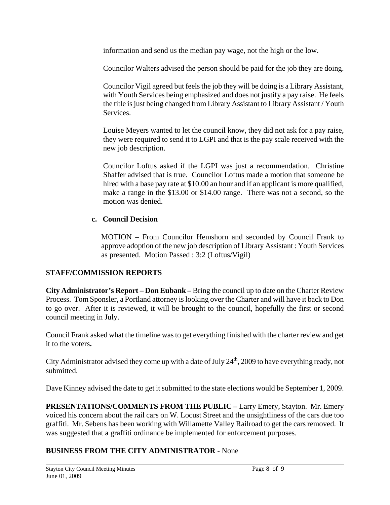information and send us the median pay wage, not the high or the low.

Councilor Walters advised the person should be paid for the job they are doing.

Councilor Vigil agreed but feels the job they will be doing is a Library Assistant, with Youth Services being emphasized and does not justify a pay raise. He feels the title is just being changed from Library Assistant to Library Assistant / Youth Services.

Louise Meyers wanted to let the council know, they did not ask for a pay raise, they were required to send it to LGPI and that is the pay scale received with the new job description.

Councilor Loftus asked if the LGPI was just a recommendation. Christine Shaffer advised that is true. Councilor Loftus made a motion that someone be hired with a base pay rate at \$10.00 an hour and if an applicant is more qualified, make a range in the \$13.00 or \$14.00 range. There was not a second, so the motion was denied.

## **c. Council Decision**

MOTION – From Councilor Hemshorn and seconded by Council Frank to approve adoption of the new job description of Library Assistant : Youth Services as presented. Motion Passed : 3:2 (Loftus/Vigil)

# **STAFF/COMMISSION REPORTS**

**City Administrator's Report – Don Eubank –** Bring the council up to date on the Charter Review Process. Tom Sponsler, a Portland attorney is looking over the Charter and will have it back to Don to go over. After it is reviewed, it will be brought to the council, hopefully the first or second council meeting in July.

Council Frank asked what the timeline was to get everything finished with the charter review and get it to the voters**.** 

City Administrator advised they come up with a date of July  $24<sup>th</sup>$ , 2009 to have everything ready, not submitted.

Dave Kinney advised the date to get it submitted to the state elections would be September 1, 2009.

**PRESENTATIONS/COMMENTS FROM THE PUBLIC –** Larry Emery, Stayton. Mr. Emery voiced his concern about the rail cars on W. Locust Street and the unsightliness of the cars due too graffiti. Mr. Sebens has been working with Willamette Valley Railroad to get the cars removed. It was suggested that a graffiti ordinance be implemented for enforcement purposes.

# **BUSINESS FROM THE CITY ADMINISTRATOR** - None